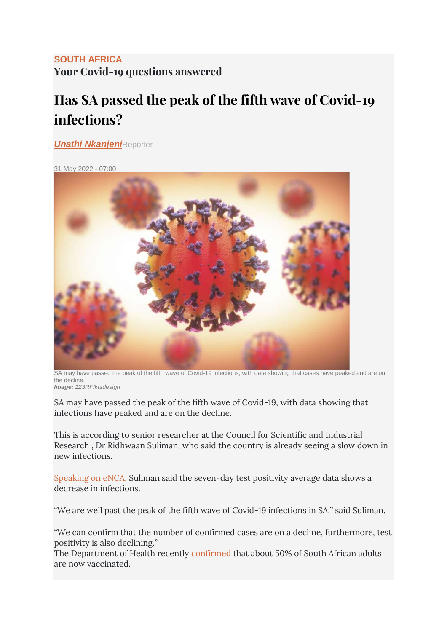## **[SOUTH AFRICA](https://www.timeslive.co.za/times-live/news/south-africa/) Your Covid-19 questions answered**

## **Has SA passed the peak of the fifth wave of Covid-19 infections?**

*[Unathi Nkanjeni](https://www.timeslive.co.za/authors/unathi-nkanjeni)*Reporter

31 May 2022 - 07:00



SA may have passed the peak of the fifth wave of Covid-19 infections, with data showing that cases have peaked and are on the decline. *Image: 123RF/ktsdesign*

SA may have passed the peak of the fifth wave of Covid-19, with data showing that infections have peaked and are on the decline.

This is according to senior researcher at the Council for Scientific and Industrial Research , Dr Ridhwaan Suliman, who said the country is already seeing a slow down in new infections.

[Speaking on eNCA,](https://www.youtube.com/watch?v=83f1g7KMorE) Suliman said the seven-day test positivity average data shows a decrease in infections.

"We are well past the peak of the fifth wave of Covid-19 infections in SA," said Suliman.

"We can confirm that the number of confirmed cases are on a decline, furthermore, test positivity is also declining."

The Department of Health recently [confirmed](https://twitter.com/HealthZA/status/1530237542150377472) that about 50% of South African adults are now vaccinated.